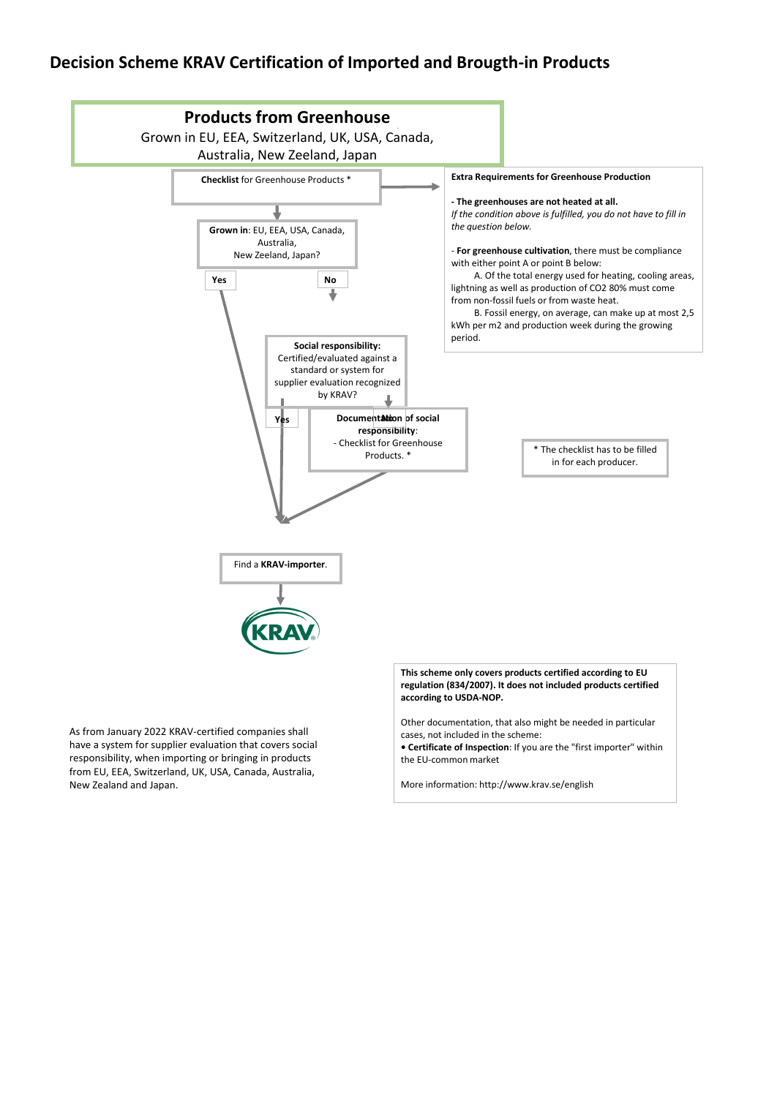## **Decision Scheme KRAV Certification of Imported and Brougth-in Products**